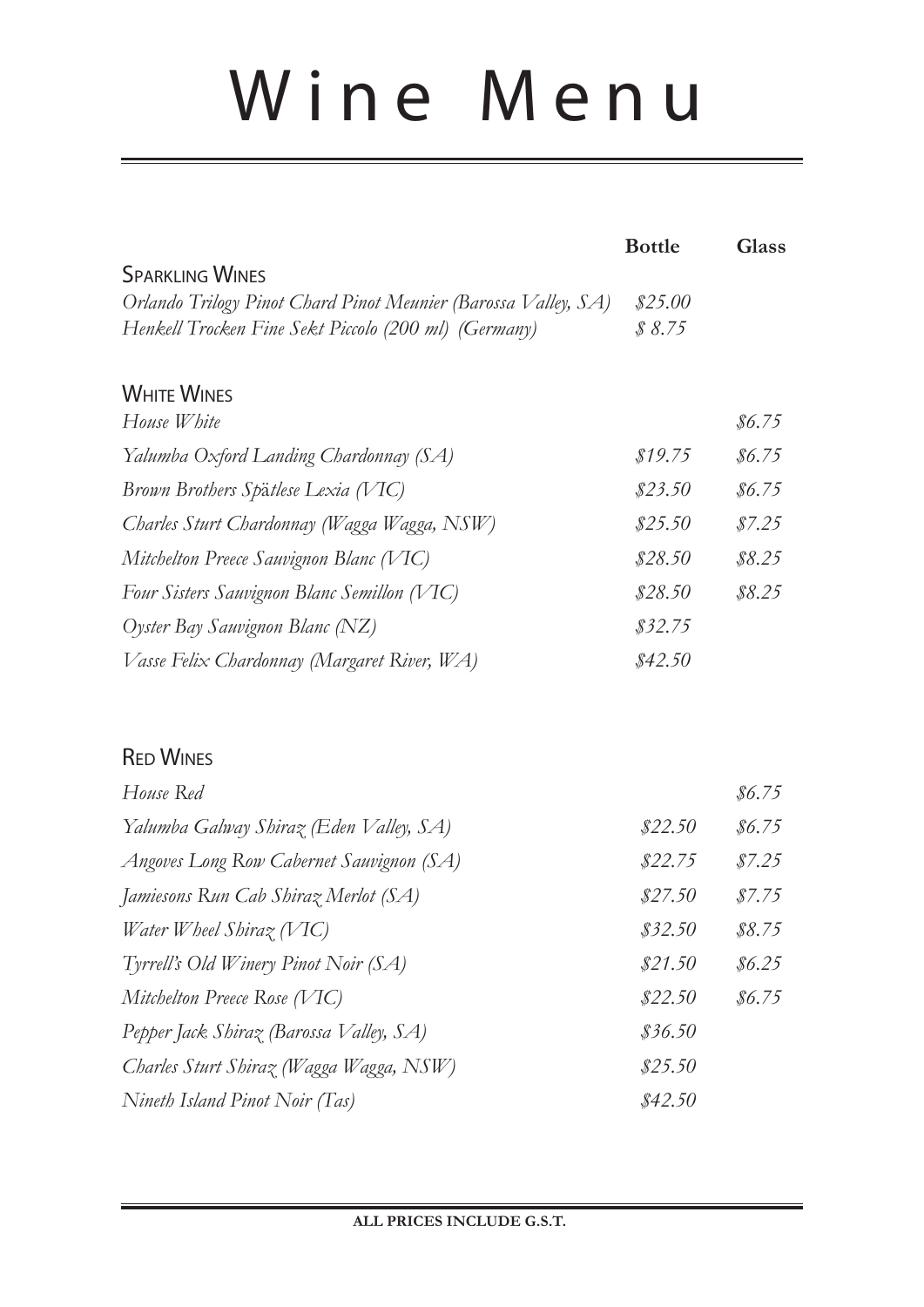## Wine Menu

|                                                                | <b>Bottle</b> | <b>Glass</b> |
|----------------------------------------------------------------|---------------|--------------|
| <b>SPARKLING WINES</b>                                         |               |              |
| Orlando Trilogy Pinot Chard Pinot Meunier (Barossa Valley, SA) | \$25.00       |              |
| Henkell Trocken Fine Sekt Piccolo (200 ml) (Germany)           | \$8.75        |              |
| <b>WHITE WINES</b>                                             |               |              |
| House White                                                    |               | \$6.75\$     |
| Yalumba Oxford Landing Chardonnay (SA)                         | \$19.75       | \$6.75       |
| Brown Brothers Spätlese Lexia (VIC)                            | \$23.50       | \$6.75       |
| Charles Sturt Chardonnay (Wagga Wagga, NSW)                    | \$25.50       | \$7.25       |
| Mitchelton Preece Sauvignon Blanc (VIC)                        | \$28.50       | \$8.25       |
| Four Sisters Sauvignon Blanc Semillon (VIC)                    | \$28.50       | \$8.25       |
| Oyster Bay Sauvignon Blanc (NZ)                                | \$32.75       |              |
| Vasse Felix Chardonnay (Margaret River, WA)                    | \$42.50       |              |
| <b>RED WINES</b>                                               |               |              |
| House Red                                                      |               | \$6.75\$     |
| Yalumba Galway Shiraz (Eden Valley, SA)                        | \$22.50       | \$6.75\$     |
| Angoves Long Row Cabernet Sauvignon (SA)                       | \$22.75       | \$7.25       |
| Jamiesons Run Cab Shiraz Merlot (SA)                           | \$27.50       | \$7.75       |
| Water Wheel Shiraz (VIC)                                       | \$32.50       | \$8.75       |
| Tyrrell's Old Winery Pinot Noir $(SA)$                         | \$21.50       | \$6.25\$     |
| Mitchelton Preece Rose (VIC)                                   | \$22.50       | \$6.75\$     |
| Pepper Jack Shiraz (Barossa Valley, SA)                        | \$36.50       |              |
| Charles Sturt Shiraz (Wagga Wagga, NSW)                        | \$25.50       |              |
| Nineth Island Pinot Noir (Tas)                                 | \$42.50       |              |
|                                                                |               |              |